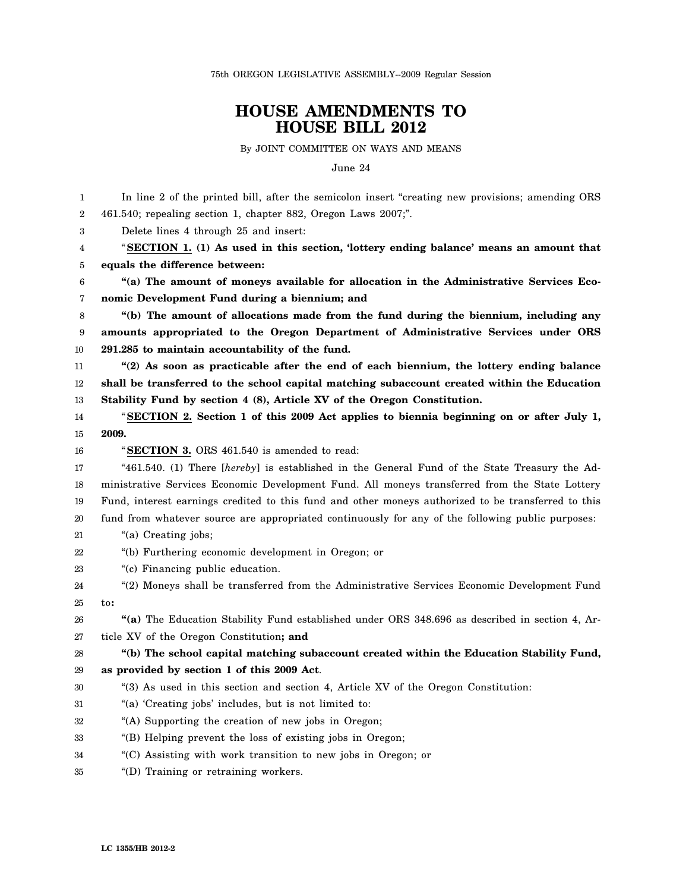75th OREGON LEGISLATIVE ASSEMBLY--2009 Regular Session

## **HOUSE AMENDMENTS TO HOUSE BILL 2012**

By JOINT COMMITTEE ON WAYS AND MEANS

June 24

| 1  | In line 2 of the printed bill, after the semicolon insert "creating new provisions; amending ORS    |
|----|-----------------------------------------------------------------------------------------------------|
| 2  | 461.540; repealing section 1, chapter 882, Oregon Laws 2007;".                                      |
| 3  | Delete lines 4 through 25 and insert:                                                               |
| 4  | "SECTION 1. (1) As used in this section, 'lottery ending balance' means an amount that              |
| 5  | equals the difference between:                                                                      |
| 6  | "(a) The amount of moneys available for allocation in the Administrative Services Eco-              |
| 7  | nomic Development Fund during a biennium; and                                                       |
| 8  | "(b) The amount of allocations made from the fund during the biennium, including any                |
| 9  | amounts appropriated to the Oregon Department of Administrative Services under ORS                  |
| 10 | 291.285 to maintain accountability of the fund.                                                     |
| 11 | "(2) As soon as practicable after the end of each biennium, the lottery ending balance              |
| 12 | shall be transferred to the school capital matching subaccount created within the Education         |
| 13 | Stability Fund by section 4 (8), Article XV of the Oregon Constitution.                             |
| 14 | "SECTION 2. Section 1 of this 2009 Act applies to biennia beginning on or after July 1,             |
| 15 | 2009.                                                                                               |
| 16 | "SECTION 3. ORS 461.540 is amended to read:                                                         |
| 17 | "461.540. (1) There [hereby] is established in the General Fund of the State Treasury the Ad-       |
| 18 | ministrative Services Economic Development Fund. All moneys transferred from the State Lottery      |
| 19 | Fund, interest earnings credited to this fund and other moneys authorized to be transferred to this |
| 20 | fund from whatever source are appropriated continuously for any of the following public purposes:   |
| 21 | "(a) Creating jobs;                                                                                 |
| 22 | "(b) Furthering economic development in Oregon; or                                                  |
| 23 | "(c) Financing public education.                                                                    |
| 24 | "(2) Moneys shall be transferred from the Administrative Services Economic Development Fund         |
| 25 | to:                                                                                                 |
| 26 | "(a) The Education Stability Fund established under ORS 348.696 as described in section 4, Ar-      |
| 27 | ticle XV of the Oregon Constitution; and                                                            |
| 28 | "(b) The school capital matching subaccount created within the Education Stability Fund,            |
| 29 | as provided by section 1 of this 2009 Act.                                                          |
| 30 | "(3) As used in this section and section 4, Article XV of the Oregon Constitution:                  |
| 31 | "(a) 'Creating jobs' includes, but is not limited to:                                               |
| 32 | "(A) Supporting the creation of new jobs in Oregon;                                                 |
| 33 | "(B) Helping prevent the loss of existing jobs in Oregon;                                           |
| 34 | "(C) Assisting with work transition to new jobs in Oregon; or                                       |
| 35 | "(D) Training or retraining workers.                                                                |
|    |                                                                                                     |